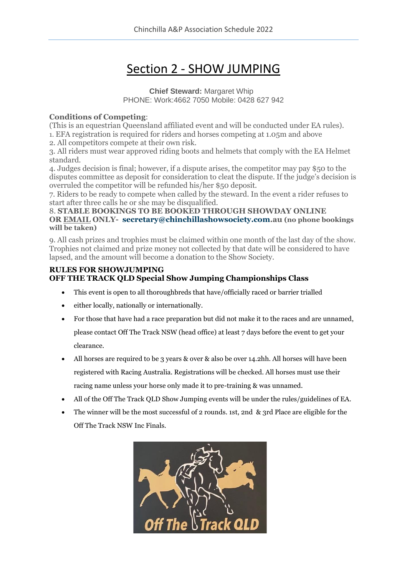# Section 2 - SHOW JUMPING

**Chief Steward:** Margaret Whip PHONE: Work:4662 7050 Mobile: 0428 627 942

#### **Conditions of Competing**:

(This is an equestrian Queensland affiliated event and will be conducted under EA rules). 1. EFA registration is required for riders and horses competing at 1.05m and above

2. All competitors compete at their own risk.

3. All riders must wear approved riding boots and helmets that comply with the EA Helmet standard.

4. Judges decision is final; however, if a dispute arises, the competitor may pay \$50 to the disputes committee as deposit for consideration to cleat the dispute. If the judge's decision is overruled the competitor will be refunded his/her \$50 deposit.

7. Riders to be ready to compete when called by the steward. In the event a rider refuses to start after three calls he or she may be disqualified.

#### 8. **STABLE BOOKINGS TO BE BOOKED THROUGH SHOWDAY ONLINE OR EMAIL ONLY- [secretary@chinchillashowsociety.com.](mailto:secretary@chinchillashowsociety.com)au (no phone bookings will be taken)**

9. All cash prizes and trophies must be claimed within one month of the last day of the show. Trophies not claimed and prize money not collected by that date will be considered to have lapsed, and the amount will become a donation to the Show Society.

#### **RULES FOR SHOWJUMPING OFF THE TRACK QLD Special Show Jumping Championships Class**

- This event is open to all thoroughbreds that have/officially raced or barrier trialled
- either locally, nationally or internationally.
- For those that have had a race preparation but did not make it to the races and are unnamed, please contact Off The Track NSW (head office) at least 7 days before the event to get your clearance.
- All horses are required to be 3 years & over & also be over 14.2hh. All horses will have been registered with Racing Australia. Registrations will be checked. All horses must use their racing name unless your horse only made it to pre-training & was unnamed.
- All of the Off The Track QLD Show Jumping events will be under the rules/guidelines of EA.
- The winner will be the most successful of 2 rounds. 1st, 2nd & 3rd Place are eligible for the Off The Track NSW Inc Finals.

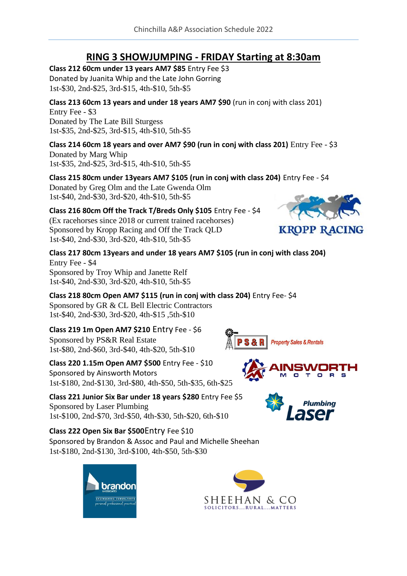## **RING 3 SHOWJUMPING - FRIDAY Starting at 8:30am**

**Class 212 60cm under 13 years AM7 \$85** Entry Fee \$3 Donated by Juanita Whip and the Late John Gorring 1st-\$30, 2nd-\$25, 3rd-\$15, 4th-\$10, 5th-\$5

**Class 213 60cm 13 years and under 18 years AM7 \$90** (run in conj with class 201)

Entry Fee - \$3 Donated by The Late Bill Sturgess 1st-\$35, 2nd-\$25, 3rd-\$15, 4th-\$10, 5th-\$5

**Class 214 60cm 18 years and over AM7 \$90 (run in conj with class 201)** Entry Fee - \$3 Donated by Marg Whip

1st-\$35, 2nd-\$25, 3rd-\$15, 4th-\$10, 5th-\$5

**Class 215 80cm under 13years AM7 \$105 (run in conj with class 204)** Entry Fee - \$4

Donated by Greg Olm and the Late Gwenda Olm 1st-\$40, 2nd-\$30, 3rd-\$20, 4th-\$10, 5th-\$5

### **Class 216 80cm Off the Track T/Breds Only \$105** Entry Fee - \$4

(Ex racehorses since 2018 or current trained racehorses) Sponsored by Kropp Racing and Off the Track QLD 1st-\$40, 2nd-\$30, 3rd-\$20, 4th-\$10, 5th-\$5

**Class 217 80cm 13years and under 18 years AM7 \$105 (run in conj with class 204)** Entry Fee - \$4 Sponsored by Troy Whip and Janette Relf 1st-\$40, 2nd-\$30, 3rd-\$20, 4th-\$10, 5th-\$5

**Class 218 80cm Open AM7 \$115 (run in conj with class 204)** Entry Fee- \$4

Sponsored by GR & CL Bell Electric Contractors 1st-\$40, 2nd-\$30, 3rd-\$20, 4th-\$15 ,5th-\$10

**Class 219 1m Open AM7 \$210** Entry Fee - \$6

Sponsored by PS&R Real Estate 1st-\$80, 2nd-\$60, 3rd-\$40, 4th-\$20, 5th-\$10

### **Class 220 1.15m Open AM7 \$500** Entry Fee - \$10

Sponsored by Ainsworth Motors 1st-\$180, 2nd-\$130, 3rd-\$80, 4th-\$50, 5th-\$35, 6th-\$25

**Class 221 Junior Six Bar under 18 years \$280** Entry Fee \$5 Sponsored by Laser Plumbing 1st-\$100, 2nd-\$70, 3rd-\$50, 4th-\$30, 5th-\$20, 6th-\$10

**Class 222 Open Six Bar \$500**Entry Fee \$10 Sponsored by Brandon & Assoc and Paul and Michelle Sheehan 1st-\$180, 2nd-\$130, 3rd-\$100, 4th-\$50, 5th-\$30